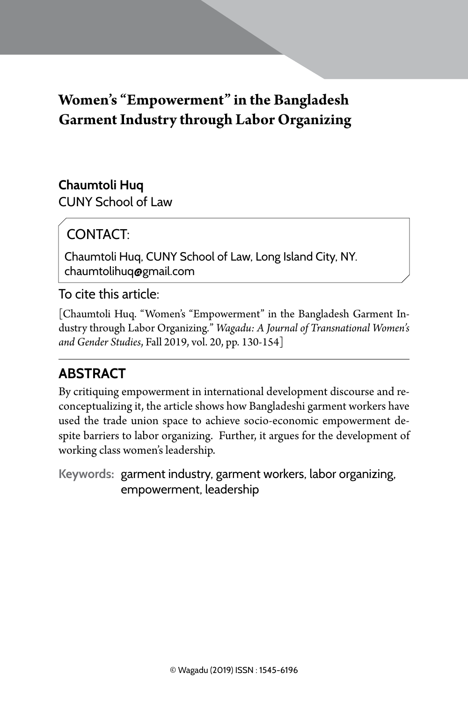# **Women's "Empowerment" in the Bangladesh Garment Industry through Labor Organizing**

### **Chaumtoli Huq**

CUNY School of Law

# CONTACT:

Chaumtoli Huq, CUNY School of Law, Long Island City, NY. chaumtolihuq@gmail.com

### To cite this article:

[Chaumtoli Huq. "Women's "Empowerment" in the Bangladesh Garment Industry through Labor Organizing*.*" *Wagadu: A Journal of Transnational Women's and Gender Studies*, Fall 2019, vol. 20, pp. 130-154]

## **Abstract**

By critiquing empowerment in international development discourse and reconceptualizing it, the article shows how Bangladeshi garment workers have used the trade union space to achieve socio-economic empowerment despite barriers to labor organizing. Further, it argues for the development of working class women's leadership.

**Keywords:** garment industry, garment workers, labor organizing, empowerment, leadership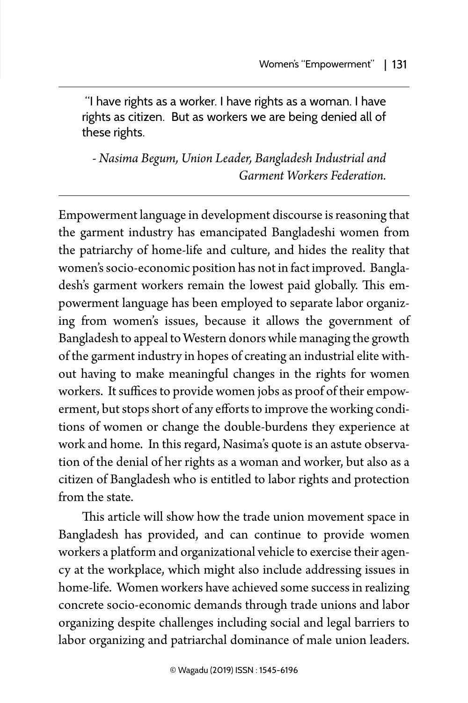"I have rights as a worker. I have rights as a woman. I have rights as citizen. But as workers we are being denied all of these rights.

*- Nasima Begum, Union Leader, Bangladesh Industrial and Garment Workers Federation.* 

Empowerment language in development discourse is reasoning that the garment industry has emancipated Bangladeshi women from the patriarchy of home-life and culture, and hides the reality that women's socio-economic position has not in fact improved. Bangladesh's garment workers remain the lowest paid globally. This empowerment language has been employed to separate labor organizing from women's issues, because it allows the government of Bangladesh to appeal to Western donors while managing the growth of the garment industry in hopes of creating an industrial elite without having to make meaningful changes in the rights for women workers. It suffices to provide women jobs as proof of their empowerment, but stops short of any efforts to improve the working conditions of women or change the double-burdens they experience at work and home. In this regard, Nasima's quote is an astute observation of the denial of her rights as a woman and worker, but also as a citizen of Bangladesh who is entitled to labor rights and protection from the state.

This article will show how the trade union movement space in Bangladesh has provided, and can continue to provide women workers a platform and organizational vehicle to exercise their agency at the workplace, which might also include addressing issues in home-life. Women workers have achieved some success in realizing concrete socio-economic demands through trade unions and labor organizing despite challenges including social and legal barriers to labor organizing and patriarchal dominance of male union leaders.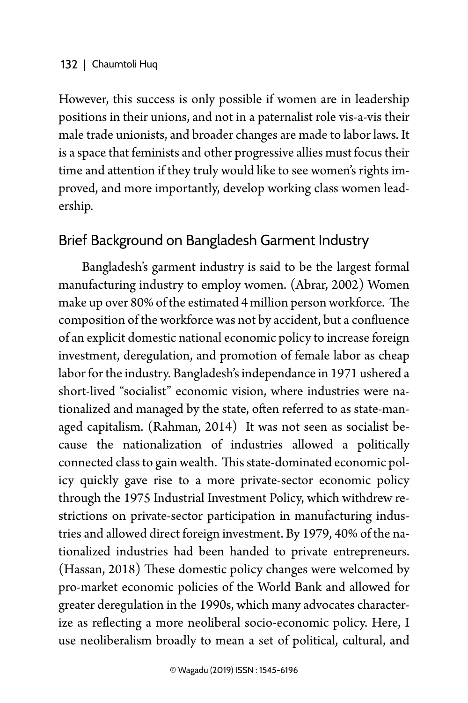However, this success is only possible if women are in leadership positions in their unions, and not in a paternalist role vis-a-vis their male trade unionists, and broader changes are made to labor laws. It is a space that feminists and other progressive allies must focus their time and attention if they truly would like to see women's rights improved, and more importantly, develop working class women leadership.

### Brief Background on Bangladesh Garment Industry

Bangladesh's garment industry is said to be the largest formal manufacturing industry to employ women. (Abrar, 2002) Women make up over 80% of the estimated 4 million person workforce. The composition of the workforce was not by accident, but a confluence of an explicit domestic national economic policy to increase foreign investment, deregulation, and promotion of female labor as cheap labor for the industry. Bangladesh's independance in 1971 ushered a short-lived "socialist" economic vision, where industries were nationalized and managed by the state, often referred to as state-managed capitalism. (Rahman, 2014) It was not seen as socialist because the nationalization of industries allowed a politically connected class to gain wealth. This state-dominated economic policy quickly gave rise to a more private-sector economic policy through the 1975 Industrial Investment Policy, which withdrew restrictions on private-sector participation in manufacturing industries and allowed direct foreign investment. By 1979, 40% of the nationalized industries had been handed to private entrepreneurs. (Hassan, 2018) These domestic policy changes were welcomed by pro-market economic policies of the World Bank and allowed for greater deregulation in the 1990s, which many advocates characterize as reflecting a more neoliberal socio-economic policy. Here, I use neoliberalism broadly to mean a set of political, cultural, and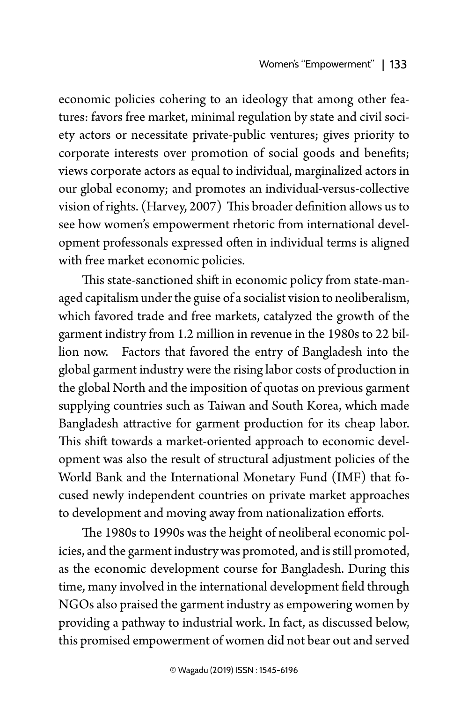economic policies cohering to an ideology that among other features: favors free market, minimal regulation by state and civil society actors or necessitate private-public ventures; gives priority to corporate interests over promotion of social goods and benefits; views corporate actors as equal to individual, marginalized actors in our global economy; and promotes an individual-versus-collective vision of rights. (Harvey, 2007) This broader definition allows us to see how women's empowerment rhetoric from international development professonals expressed often in individual terms is aligned with free market economic policies.

This state-sanctioned shift in economic policy from state-managed capitalism under the guise of a socialist vision to neoliberalism, which favored trade and free markets, catalyzed the growth of the garment indistry from 1.2 million in revenue in the 1980s to 22 billion now. Factors that favored the entry of Bangladesh into the global garment industry were the rising labor costs of production in the global North and the imposition of quotas on previous garment supplying countries such as Taiwan and South Korea, which made Bangladesh attractive for garment production for its cheap labor. This shift towards a market-oriented approach to economic development was also the result of structural adjustment policies of the World Bank and the International Monetary Fund (IMF) that focused newly independent countries on private market approaches to development and moving away from nationalization efforts.

The 1980s to 1990s was the height of neoliberal economic policies, and the garment industry was promoted, and is still promoted, as the economic development course for Bangladesh. During this time, many involved in the international development field through NGOs also praised the garment industry as empowering women by providing a pathway to industrial work. In fact, as discussed below, this promised empowerment of women did not bear out and served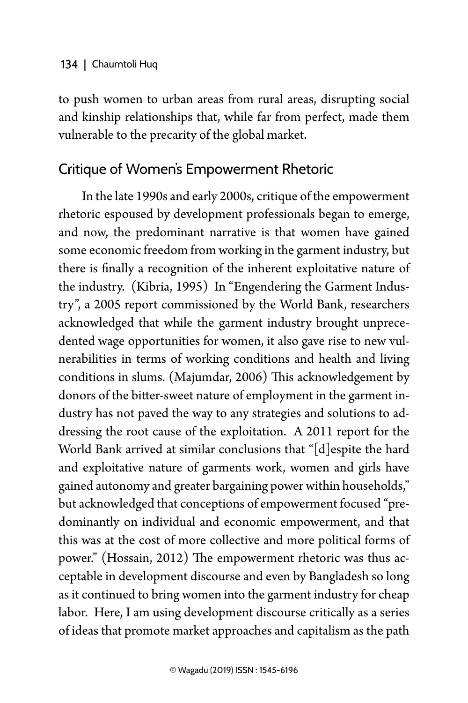to push women to urban areas from rural areas, disrupting social and kinship relationships that, while far from perfect, made them vulnerable to the precarity of the global market.

### Critique of Women's Empowerment Rhetoric

In the late 1990s and early 2000s, critique of the empowerment rhetoric espoused by development professionals began to emerge, and now, the predominant narrative is that women have gained some economic freedom from working in the garment industry, but there is finally a recognition of the inherent exploitative nature of the industry. (Kibria, 1995) In "Engendering the Garment Industry", a 2005 report commissioned by the World Bank, researchers acknowledged that while the garment industry brought unprecedented wage opportunities for women, it also gave rise to new vulnerabilities in terms of working conditions and health and living conditions in slums. (Majumdar, 2006) This acknowledgement by donors of the bitter-sweet nature of employment in the garment industry has not paved the way to any strategies and solutions to addressing the root cause of the exploitation. A 2011 report for the World Bank arrived at similar conclusions that "[d]espite the hard and exploitative nature of garments work, women and girls have gained autonomy and greater bargaining power within households," but acknowledged that conceptions of empowerment focused "predominantly on individual and economic empowerment, and that this was at the cost of more collective and more political forms of power." (Hossain, 2012) The empowerment rhetoric was thus acceptable in development discourse and even by Bangladesh so long as it continued to bring women into the garment industry for cheap labor. Here, I am using development discourse critically as a series of ideas that promote market approaches and capitalism as the path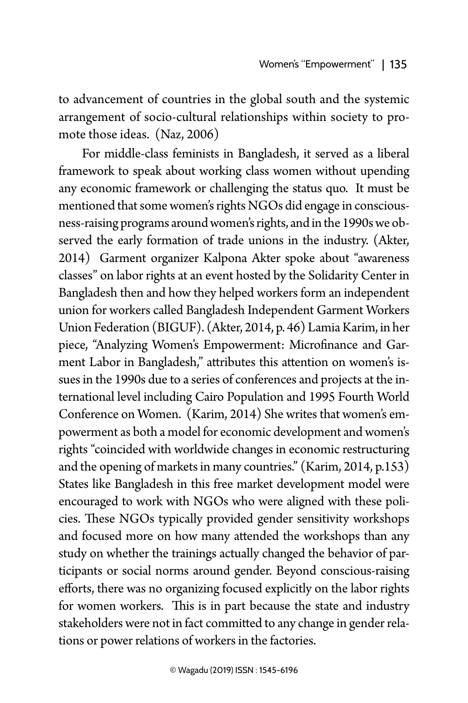to advancement of countries in the global south and the systemic arrangement of socio-cultural relationships within society to promote those ideas. (Naz, 2006)

For middle-class feminists in Bangladesh, it served as a liberal framework to speak about working class women without upending any economic framework or challenging the status quo. It must be mentioned that some women's rights NGOs did engage in consciousness-raising programs around women's rights, and in the 1990s we observed the early formation of trade unions in the industry. (Akter, 2014) Garment organizer Kalpona Akter spoke about "awareness classes" on labor rights at an event hosted by the Solidarity Center in Bangladesh then and how they helped workers form an independent union for workers called Bangladesh Independent Garment Workers Union Federation (BIGUF). (Akter, 2014, p. 46) Lamia Karim, in her piece, "Analyzing Women's Empowerment: Microfinance and Garment Labor in Bangladesh," attributes this attention on women's issues in the 1990s due to a series of conferences and projects at the international level including Cairo Population and 1995 Fourth World Conference on Women. (Karim, 2014) She writes that women's empowerment as both a model for economic development and women's rights "coincided with worldwide changes in economic restructuring and the opening of markets in many countries." (Karim, 2014, p.153) States like Bangladesh in this free market development model were encouraged to work with NGOs who were aligned with these policies. These NGOs typically provided gender sensitivity workshops and focused more on how many attended the workshops than any study on whether the trainings actually changed the behavior of participants or social norms around gender. Beyond conscious-raising efforts, there was no organizing focused explicitly on the labor rights for women workers. This is in part because the state and industry stakeholders were not in fact committed to any change in gender relations or power relations of workers in the factories.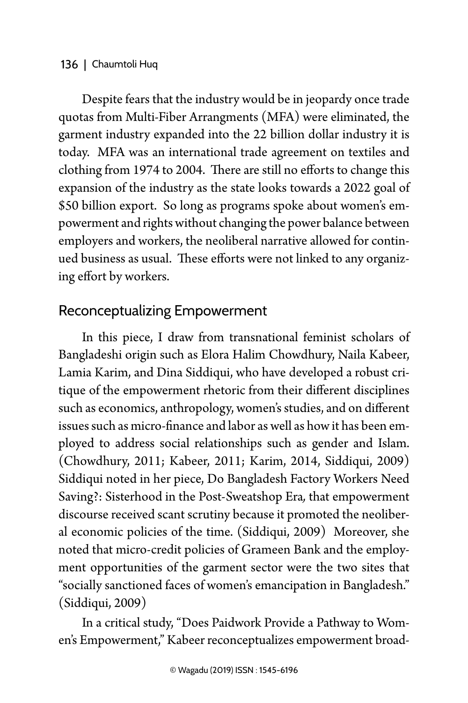Despite fears that the industry would be in jeopardy once trade quotas from Multi-Fiber Arrangments (MFA) were eliminated, the garment industry expanded into the 22 billion dollar industry it is today. MFA was an international trade agreement on textiles and clothing from 1974 to 2004. There are still no efforts to change this expansion of the industry as the state looks towards a 2022 goal of \$50 billion export. So long as programs spoke about women's empowerment and rights without changing the power balance between employers and workers, the neoliberal narrative allowed for continued business as usual. These efforts were not linked to any organizing effort by workers.

## Reconceptualizing Empowerment

In this piece, I draw from transnational feminist scholars of Bangladeshi origin such as Elora Halim Chowdhury, Naila Kabeer, Lamia Karim, and Dina Siddiqui, who have developed a robust critique of the empowerment rhetoric from their different disciplines such as economics, anthropology, women's studies, and on different issues such as micro-finance and labor as well as how it has been employed to address social relationships such as gender and Islam. (Chowdhury, 2011; Kabeer, 2011; Karim, 2014, Siddiqui, 2009) Siddiqui noted in her piece, Do Bangladesh Factory Workers Need Saving?: Sisterhood in the Post-Sweatshop Era*,* that empowerment discourse received scant scrutiny because it promoted the neoliberal economic policies of the time. (Siddiqui, 2009) Moreover, she noted that micro-credit policies of Grameen Bank and the employment opportunities of the garment sector were the two sites that "socially sanctioned faces of women's emancipation in Bangladesh." (Siddiqui, 2009)

In a critical study, "Does Paidwork Provide a Pathway to Women's Empowerment," Kabeer reconceptualizes empowerment broad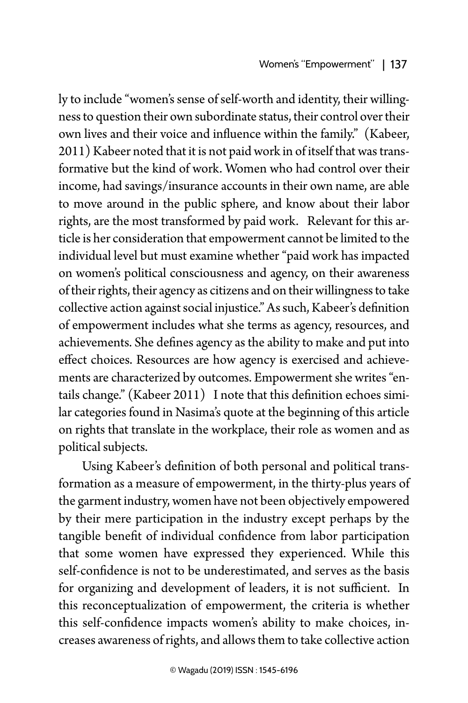ly to include "women's sense of self-worth and identity, their willingness to question their own subordinate status, their control over their own lives and their voice and influence within the family." (Kabeer, 2011) Kabeer noted that it is not paid work in of itself that was transformative but the kind of work. Women who had control over their income, had savings/insurance accounts in their own name, are able to move around in the public sphere, and know about their labor rights, are the most transformed by paid work. Relevant for this article is her consideration that empowerment cannot be limited to the individual level but must examine whether "paid work has impacted on women's political consciousness and agency, on their awareness of their rights, their agency as citizens and on their willingness to take collective action against social injustice." As such, Kabeer's definition of empowerment includes what she terms as agency, resources, and achievements. She defines agency as the ability to make and put into effect choices. Resources are how agency is exercised and achievements are characterized by outcomes. Empowerment she writes "entails change." (Kabeer 2011) I note that this definition echoes similar categories found in Nasima's quote at the beginning of this article on rights that translate in the workplace, their role as women and as political subjects.

Using Kabeer's definition of both personal and political transformation as a measure of empowerment, in the thirty-plus years of the garment industry, women have not been objectively empowered by their mere participation in the industry except perhaps by the tangible benefit of individual confidence from labor participation that some women have expressed they experienced. While this self-confidence is not to be underestimated, and serves as the basis for organizing and development of leaders, it is not sufficient. In this reconceptualization of empowerment, the criteria is whether this self-confidence impacts women's ability to make choices, increases awareness of rights, and allows them to take collective action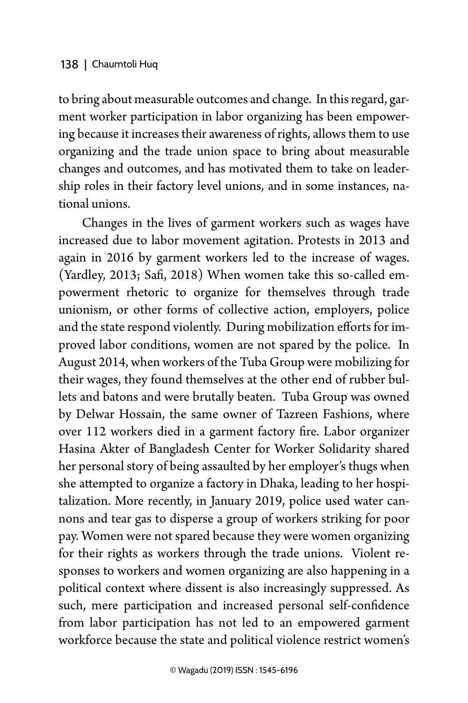to bring about measurable outcomes and change. In this regard, garment worker participation in labor organizing has been empowering because it increases their awareness of rights, allows them to use organizing and the trade union space to bring about measurable changes and outcomes, and has motivated them to take on leadership roles in their factory level unions, and in some instances, national unions.

Changes in the lives of garment workers such as wages have increased due to labor movement agitation. Protests in 2013 and again in 2016 by garment workers led to the increase of wages. (Yardley, 2013; Safi, 2018) When women take this so-called empowerment rhetoric to organize for themselves through trade unionism, or other forms of collective action, employers, police and the state respond violently. During mobilization efforts for improved labor conditions, women are not spared by the police. In August 2014, when workers of the Tuba Group were mobilizing for their wages, they found themselves at the other end of rubber bullets and batons and were brutally beaten. Tuba Group was owned by Delwar Hossain, the same owner of Tazreen Fashions, where over 112 workers died in a garment factory fire. Labor organizer Hasina Akter of Bangladesh Center for Worker Solidarity shared her personal story of being assaulted by her employer's thugs when she attempted to organize a factory in Dhaka, leading to her hospitalization. More recently, in January 2019, police used water cannons and tear gas to disperse a group of workers striking for poor pay. Women were not spared because they were women organizing for their rights as workers through the trade unions. Violent responses to workers and women organizing are also happening in a political context where dissent is also increasingly suppressed. As such, mere participation and increased personal self-confidence from labor participation has not led to an empowered garment workforce because the state and political violence restrict women's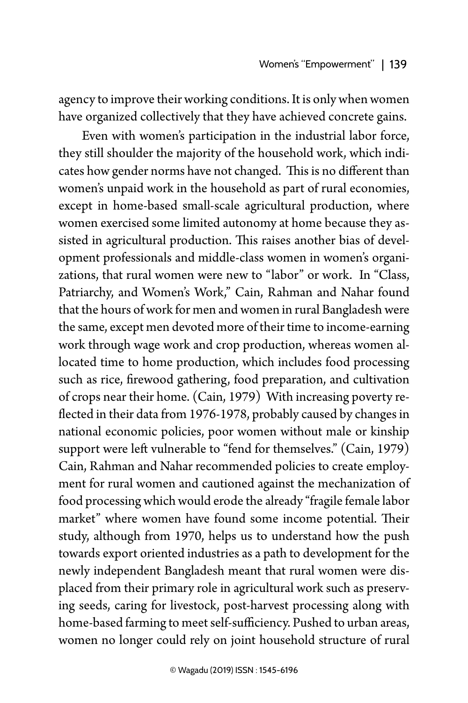agency to improve their working conditions. It is only when women have organized collectively that they have achieved concrete gains.

Even with women's participation in the industrial labor force, they still shoulder the majority of the household work, which indicates how gender norms have not changed. This is no different than women's unpaid work in the household as part of rural economies, except in home-based small-scale agricultural production, where women exercised some limited autonomy at home because they assisted in agricultural production. This raises another bias of development professionals and middle-class women in women's organizations, that rural women were new to "labor" or work. In "Class, Patriarchy, and Women's Work," Cain, Rahman and Nahar found that the hours of work for men and women in rural Bangladesh were the same, except men devoted more of their time to income-earning work through wage work and crop production, whereas women allocated time to home production, which includes food processing such as rice, firewood gathering, food preparation, and cultivation of crops near their home. (Cain, 1979) With increasing poverty reflected in their data from 1976-1978, probably caused by changes in national economic policies, poor women without male or kinship support were left vulnerable to "fend for themselves." (Cain, 1979) Cain, Rahman and Nahar recommended policies to create employment for rural women and cautioned against the mechanization of food processing which would erode the already "fragile female labor market" where women have found some income potential. Their study, although from 1970, helps us to understand how the push towards export oriented industries as a path to development for the newly independent Bangladesh meant that rural women were displaced from their primary role in agricultural work such as preserving seeds, caring for livestock, post-harvest processing along with home-based farming to meet self-sufficiency. Pushed to urban areas, women no longer could rely on joint household structure of rural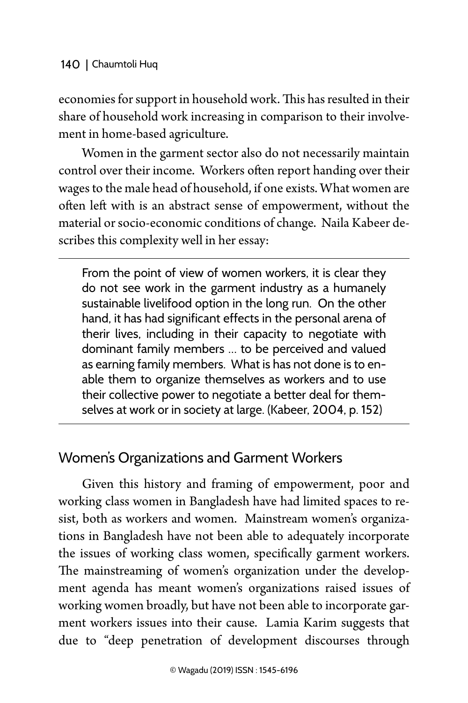economies for support in household work. This has resulted in their share of household work increasing in comparison to their involvement in home-based agriculture.

Women in the garment sector also do not necessarily maintain control over their income. Workers often report handing over their wages to the male head of household, if one exists. What women are often left with is an abstract sense of empowerment, without the material or socio-economic conditions of change. Naila Kabeer describes this complexity well in her essay:

From the point of view of women workers, it is clear they do not see work in the garment industry as a humanely sustainable livelifood option in the long run. On the other hand, it has had significant effects in the personal arena of therir lives, including in their capacity to negotiate with dominant family members … to be perceived and valued as earning family members. What is has not done is to enable them to organize themselves as workers and to use their collective power to negotiate a better deal for themselves at work or in society at large. (Kabeer, 2004, p. 152)

## Women's Organizations and Garment Workers

Given this history and framing of empowerment, poor and working class women in Bangladesh have had limited spaces to resist, both as workers and women. Mainstream women's organizations in Bangladesh have not been able to adequately incorporate the issues of working class women, specifically garment workers. The mainstreaming of women's organization under the development agenda has meant women's organizations raised issues of working women broadly, but have not been able to incorporate garment workers issues into their cause. Lamia Karim suggests that due to "deep penetration of development discourses through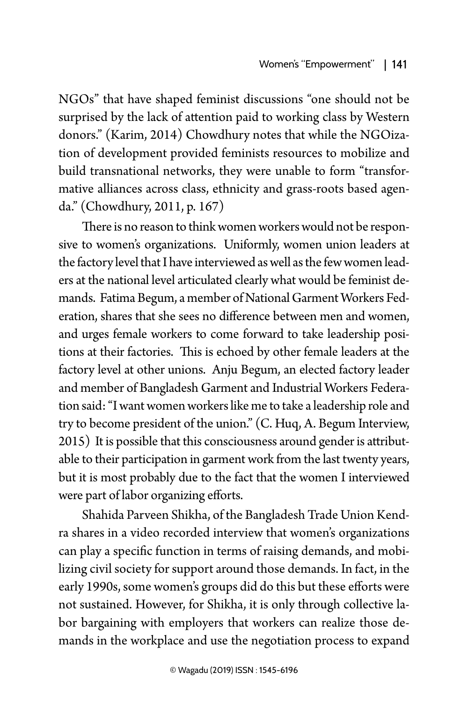NGOs" that have shaped feminist discussions "one should not be surprised by the lack of attention paid to working class by Western donors." (Karim, 2014) Chowdhury notes that while the NGOization of development provided feminists resources to mobilize and build transnational networks, they were unable to form "transformative alliances across class, ethnicity and grass-roots based agenda." (Chowdhury, 2011, p. 167)

There is no reason to think women workers would not be responsive to women's organizations. Uniformly, women union leaders at the factory level that I have interviewed as well as the few women leaders at the national level articulated clearly what would be feminist demands. Fatima Begum, a member of National Garment Workers Federation, shares that she sees no difference between men and women, and urges female workers to come forward to take leadership positions at their factories. This is echoed by other female leaders at the factory level at other unions. Anju Begum, an elected factory leader and member of Bangladesh Garment and Industrial Workers Federation said: "I want women workers like me to take a leadership role and try to become president of the union." (C. Huq, A. Begum Interview, 2015) It is possible that this consciousness around gender is attributable to their participation in garment work from the last twenty years, but it is most probably due to the fact that the women I interviewed were part of labor organizing efforts.

Shahida Parveen Shikha, of the Bangladesh Trade Union Kendra shares in a video recorded interview that women's organizations can play a specific function in terms of raising demands, and mobilizing civil society for support around those demands. In fact, in the early 1990s, some women's groups did do this but these efforts were not sustained. However, for Shikha, it is only through collective labor bargaining with employers that workers can realize those demands in the workplace and use the negotiation process to expand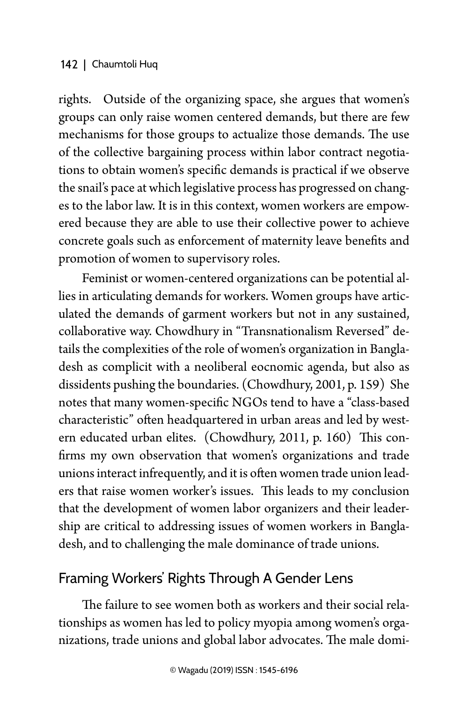rights. Outside of the organizing space, she argues that women's groups can only raise women centered demands, but there are few mechanisms for those groups to actualize those demands. The use of the collective bargaining process within labor contract negotiations to obtain women's specific demands is practical if we observe the snail's pace at which legislative process has progressed on changes to the labor law. It is in this context, women workers are empowered because they are able to use their collective power to achieve concrete goals such as enforcement of maternity leave benefits and promotion of women to supervisory roles.

Feminist or women-centered organizations can be potential allies in articulating demands for workers. Women groups have articulated the demands of garment workers but not in any sustained, collaborative way. Chowdhury in "Transnationalism Reversed" details the complexities of the role of women's organization in Bangladesh as complicit with a neoliberal eocnomic agenda, but also as dissidents pushing the boundaries. (Chowdhury, 2001, p. 159) She notes that many women-specific NGOs tend to have a "class-based characteristic" often headquartered in urban areas and led by western educated urban elites. (Chowdhury, 2011, p. 160) This confirms my own observation that women's organizations and trade unions interact infrequently, and it is often women trade union leaders that raise women worker's issues. This leads to my conclusion that the development of women labor organizers and their leadership are critical to addressing issues of women workers in Bangladesh, and to challenging the male dominance of trade unions.

### Framing Workers' Rights Through A Gender Lens

The failure to see women both as workers and their social relationships as women has led to policy myopia among women's organizations, trade unions and global labor advocates. The male domi-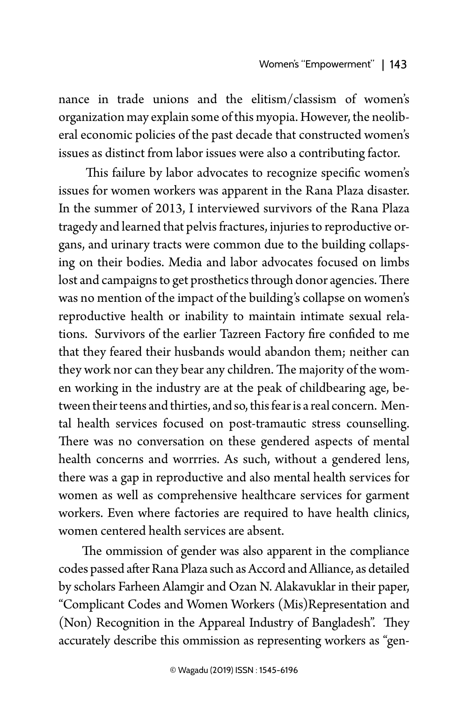nance in trade unions and the elitism/classism of women's organization may explain some of this myopia. However, the neoliberal economic policies of the past decade that constructed women's issues as distinct from labor issues were also a contributing factor.

 This failure by labor advocates to recognize specific women's issues for women workers was apparent in the Rana Plaza disaster. In the summer of 2013, I interviewed survivors of the Rana Plaza tragedy and learned that pelvis fractures, injuries to reproductive organs, and urinary tracts were common due to the building collapsing on their bodies. Media and labor advocates focused on limbs lost and campaigns to get prosthetics through donor agencies. There was no mention of the impact of the building's collapse on women's reproductive health or inability to maintain intimate sexual relations. Survivors of the earlier Tazreen Factory fire confided to me that they feared their husbands would abandon them; neither can they work nor can they bear any children. The majority of the women working in the industry are at the peak of childbearing age, between their teens and thirties, and so, this fear is a real concern. Mental health services focused on post-tramautic stress counselling. There was no conversation on these gendered aspects of mental health concerns and worrries. As such, without a gendered lens, there was a gap in reproductive and also mental health services for women as well as comprehensive healthcare services for garment workers. Even where factories are required to have health clinics, women centered health services are absent.

The ommission of gender was also apparent in the compliance codes passed after Rana Plaza such as Accord and Alliance, as detailed by scholars Farheen Alamgir and Ozan N. Alakavuklar in their paper, "Complicant Codes and Women Workers (Mis)Representation and (Non) Recognition in the Appareal Industry of Bangladesh". They accurately describe this ommission as representing workers as "gen-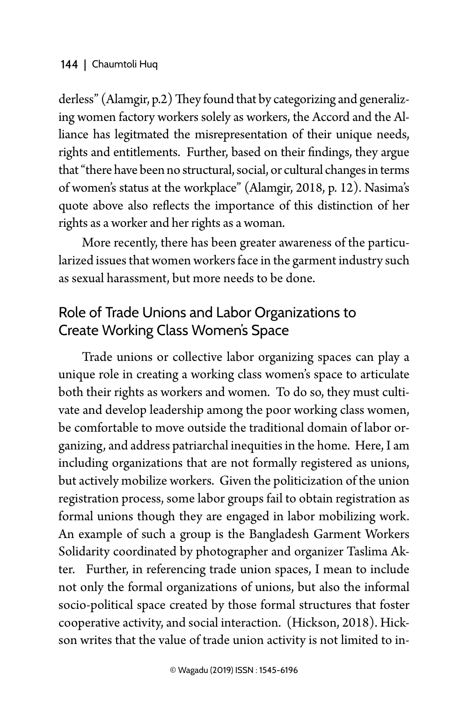derless" (Alamgir, p.2) They found that by categorizing and generalizing women factory workers solely as workers, the Accord and the Alliance has legitmated the misrepresentation of their unique needs, rights and entitlements. Further, based on their findings, they argue that "there have been no structural, social, or cultural changes in terms of women's status at the workplace" (Alamgir, 2018, p. 12). Nasima's quote above also reflects the importance of this distinction of her rights as a worker and her rights as a woman.

More recently, there has been greater awareness of the particularized issues that women workers face in the garment industry such as sexual harassment, but more needs to be done.

## Role of Trade Unions and Labor Organizations to Create Working Class Women's Space

Trade unions or collective labor organizing spaces can play a unique role in creating a working class women's space to articulate both their rights as workers and women. To do so, they must cultivate and develop leadership among the poor working class women, be comfortable to move outside the traditional domain of labor organizing, and address patriarchal inequities in the home. Here, I am including organizations that are not formally registered as unions, but actively mobilize workers. Given the politicization of the union registration process, some labor groups fail to obtain registration as formal unions though they are engaged in labor mobilizing work. An example of such a group is the Bangladesh Garment Workers Solidarity coordinated by photographer and organizer Taslima Akter. Further, in referencing trade union spaces, I mean to include not only the formal organizations of unions, but also the informal socio-political space created by those formal structures that foster cooperative activity, and social interaction. (Hickson, 2018). Hickson writes that the value of trade union activity is not limited to in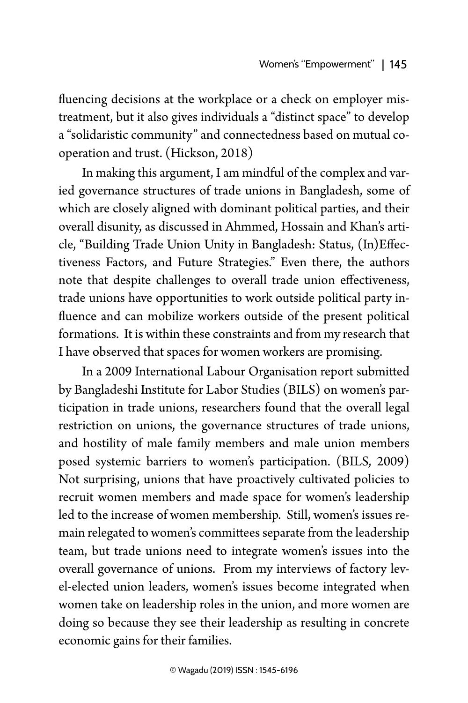fluencing decisions at the workplace or a check on employer mistreatment, but it also gives individuals a "distinct space" to develop a "solidaristic community" and connectedness based on mutual cooperation and trust. (Hickson, 2018)

In making this argument, I am mindful of the complex and varied governance structures of trade unions in Bangladesh, some of which are closely aligned with dominant political parties, and their overall disunity, as discussed in Ahmmed, Hossain and Khan's article, "Building Trade Union Unity in Bangladesh: Status, (In)Effectiveness Factors, and Future Strategies." Even there, the authors note that despite challenges to overall trade union effectiveness, trade unions have opportunities to work outside political party influence and can mobilize workers outside of the present political formations. It is within these constraints and from my research that I have observed that spaces for women workers are promising.

In a 2009 International Labour Organisation report submitted by Bangladeshi Institute for Labor Studies (BILS) on women's participation in trade unions, researchers found that the overall legal restriction on unions, the governance structures of trade unions, and hostility of male family members and male union members posed systemic barriers to women's participation. (BILS, 2009) Not surprising, unions that have proactively cultivated policies to recruit women members and made space for women's leadership led to the increase of women membership. Still, women's issues remain relegated to women's committees separate from the leadership team, but trade unions need to integrate women's issues into the overall governance of unions. From my interviews of factory level-elected union leaders, women's issues become integrated when women take on leadership roles in the union, and more women are doing so because they see their leadership as resulting in concrete economic gains for their families.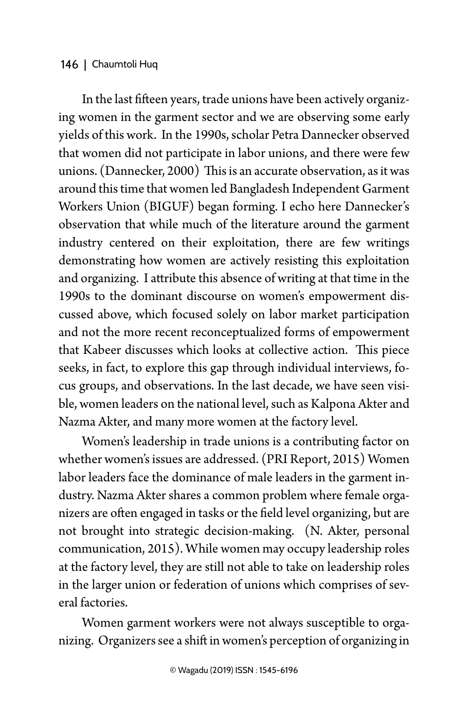In the last fifteen years, trade unions have been actively organizing women in the garment sector and we are observing some early yields of this work. In the 1990s, scholar Petra Dannecker observed that women did not participate in labor unions, and there were few unions. (Dannecker, 2000) This is an accurate observation, as it was around this time that women led Bangladesh Independent Garment Workers Union (BIGUF) began forming. I echo here Dannecker's observation that while much of the literature around the garment industry centered on their exploitation, there are few writings demonstrating how women are actively resisting this exploitation and organizing. I attribute this absence of writing at that time in the 1990s to the dominant discourse on women's empowerment discussed above, which focused solely on labor market participation and not the more recent reconceptualized forms of empowerment that Kabeer discusses which looks at collective action. This piece seeks, in fact, to explore this gap through individual interviews, focus groups, and observations. In the last decade, we have seen visible, women leaders on the national level, such as Kalpona Akter and Nazma Akter, and many more women at the factory level.

Women's leadership in trade unions is a contributing factor on whether women's issues are addressed. (PRI Report, 2015) Women labor leaders face the dominance of male leaders in the garment industry. Nazma Akter shares a common problem where female organizers are often engaged in tasks or the field level organizing, but are not brought into strategic decision-making. (N. Akter, personal communication, 2015). While women may occupy leadership roles at the factory level, they are still not able to take on leadership roles in the larger union or federation of unions which comprises of several factories.

Women garment workers were not always susceptible to organizing. Organizers see a shift in women's perception of organizing in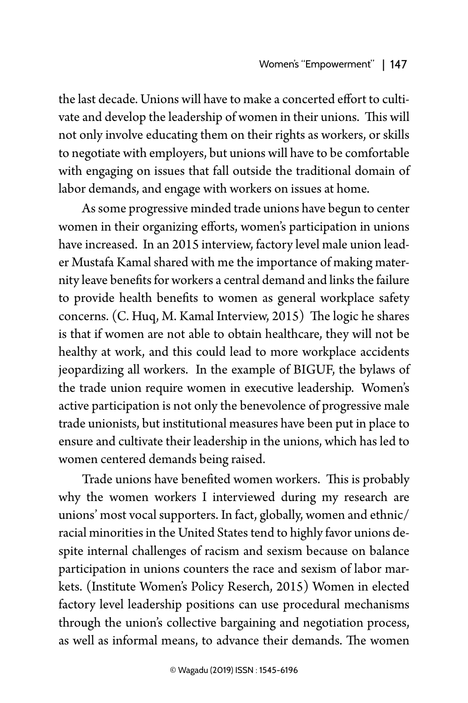the last decade. Unions will have to make a concerted effort to cultivate and develop the leadership of women in their unions. This will not only involve educating them on their rights as workers, or skills to negotiate with employers, but unions will have to be comfortable with engaging on issues that fall outside the traditional domain of labor demands, and engage with workers on issues at home.

As some progressive minded trade unions have begun to center women in their organizing efforts, women's participation in unions have increased. In an 2015 interview, factory level male union leader Mustafa Kamal shared with me the importance of making maternity leave benefits for workers a central demand and links the failure to provide health benefits to women as general workplace safety concerns. (C. Huq, M. Kamal Interview, 2015) The logic he shares is that if women are not able to obtain healthcare, they will not be healthy at work, and this could lead to more workplace accidents jeopardizing all workers. In the example of BIGUF, the bylaws of the trade union require women in executive leadership. Women's active participation is not only the benevolence of progressive male trade unionists, but institutional measures have been put in place to ensure and cultivate their leadership in the unions, which has led to women centered demands being raised.

Trade unions have benefited women workers. This is probably why the women workers I interviewed during my research are unions' most vocal supporters. In fact, globally, women and ethnic/ racial minorities in the United States tend to highly favor unions despite internal challenges of racism and sexism because on balance participation in unions counters the race and sexism of labor markets. (Institute Women's Policy Reserch, 2015) Women in elected factory level leadership positions can use procedural mechanisms through the union's collective bargaining and negotiation process, as well as informal means, to advance their demands. The women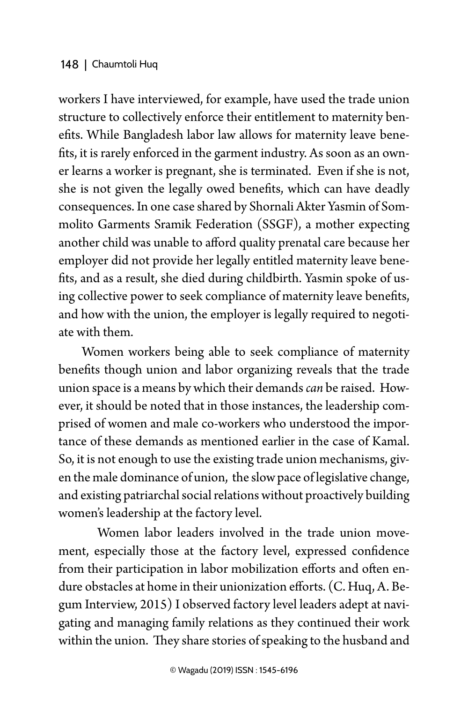workers I have interviewed, for example, have used the trade union structure to collectively enforce their entitlement to maternity benefits. While Bangladesh labor law allows for maternity leave benefits, it is rarely enforced in the garment industry. As soon as an owner learns a worker is pregnant, she is terminated. Even if she is not, she is not given the legally owed benefits, which can have deadly consequences. In one case shared by Shornali Akter Yasmin of Sommolito Garments Sramik Federation (SSGF), a mother expecting another child was unable to afford quality prenatal care because her employer did not provide her legally entitled maternity leave benefits, and as a result, she died during childbirth. Yasmin spoke of using collective power to seek compliance of maternity leave benefits, and how with the union, the employer is legally required to negotiate with them.

Women workers being able to seek compliance of maternity benefits though union and labor organizing reveals that the trade union space is a means by which their demands *can* be raised. However, it should be noted that in those instances, the leadership comprised of women and male co-workers who understood the importance of these demands as mentioned earlier in the case of Kamal. So, it is not enough to use the existing trade union mechanisms, given the male dominance of union, the slow pace of legislative change, and existing patriarchal social relations without proactively building women's leadership at the factory level.

Women labor leaders involved in the trade union movement, especially those at the factory level, expressed confidence from their participation in labor mobilization efforts and often endure obstacles at home in their unionization efforts. (C. Huq, A. Begum Interview, 2015) I observed factory level leaders adept at navigating and managing family relations as they continued their work within the union. They share stories of speaking to the husband and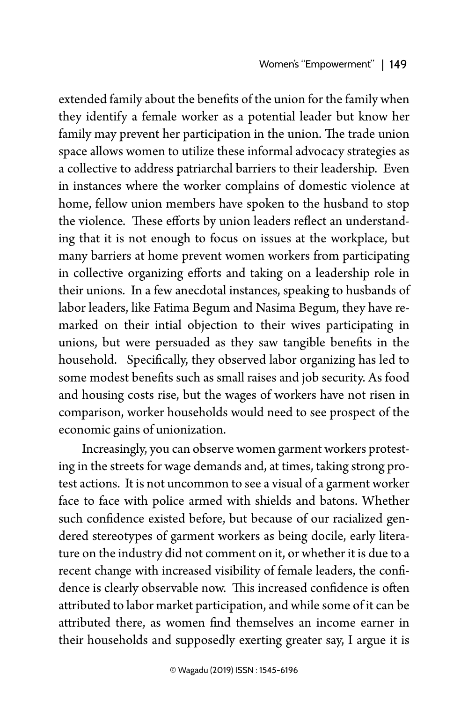extended family about the benefits of the union for the family when they identify a female worker as a potential leader but know her family may prevent her participation in the union. The trade union space allows women to utilize these informal advocacy strategies as a collective to address patriarchal barriers to their leadership. Even in instances where the worker complains of domestic violence at home, fellow union members have spoken to the husband to stop the violence. These efforts by union leaders reflect an understanding that it is not enough to focus on issues at the workplace, but many barriers at home prevent women workers from participating in collective organizing efforts and taking on a leadership role in their unions. In a few anecdotal instances, speaking to husbands of labor leaders, like Fatima Begum and Nasima Begum, they have remarked on their intial objection to their wives participating in unions, but were persuaded as they saw tangible benefits in the household. Specifically, they observed labor organizing has led to some modest benefits such as small raises and job security. As food and housing costs rise, but the wages of workers have not risen in comparison, worker households would need to see prospect of the economic gains of unionization.

Increasingly, you can observe women garment workers protesting in the streets for wage demands and, at times, taking strong protest actions. It is not uncommon to see a visual of a garment worker face to face with police armed with shields and batons. Whether such confidence existed before, but because of our racialized gendered stereotypes of garment workers as being docile, early literature on the industry did not comment on it, or whether it is due to a recent change with increased visibility of female leaders, the confidence is clearly observable now. This increased confidence is often attributed to labor market participation, and while some of it can be attributed there, as women find themselves an income earner in their households and supposedly exerting greater say, I argue it is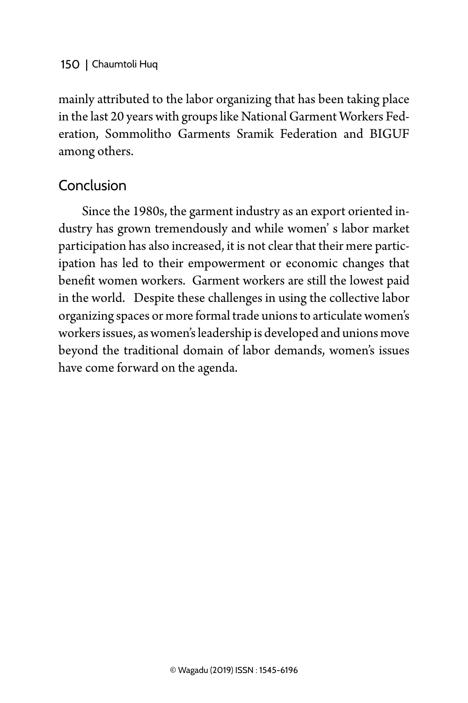mainly attributed to the labor organizing that has been taking place in the last 20 years with groups like National Garment Workers Federation, Sommolitho Garments Sramik Federation and BIGUF among others.

## Conclusion

Since the 1980s, the garment industry as an export oriented industry has grown tremendously and while women' s labor market participation has also increased, it is not clear that their mere participation has led to their empowerment or economic changes that benefit women workers. Garment workers are still the lowest paid in the world. Despite these challenges in using the collective labor organizing spaces or more formal trade unions to articulate women's workers issues, as women's leadership is developed and unions move beyond the traditional domain of labor demands, women's issues have come forward on the agenda.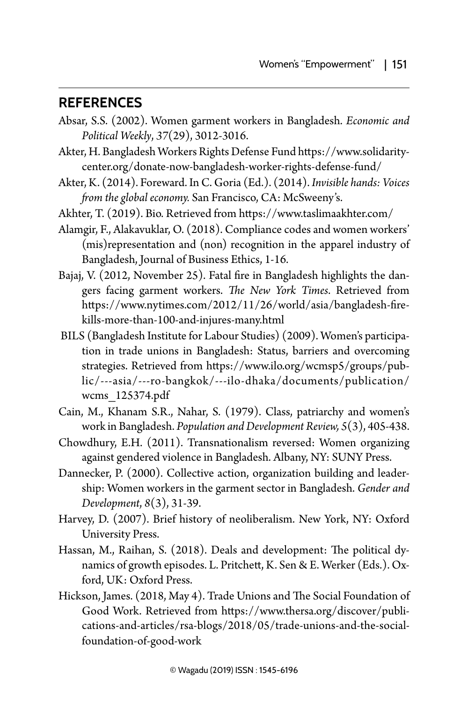#### **References**

- Absar, S.S. (2002). Women garment workers in Bangladesh. *Economic and Political Weekly*, *37*(29), 3012-3016.
- Akter, H. Bangladesh Workers Rights Defense Fund [https://www.solidarity](https://www.solidaritycenter.org/donate-now-bangladesh-worker-rights-defense-fund/)[center.org/donate-now-bangladesh-worker-rights-defense-fund/](https://www.solidaritycenter.org/donate-now-bangladesh-worker-rights-defense-fund/)
- Akter, K. (2014). Foreward. In C. Goria (Ed.). (2014). *Invisible hands: Voices from the global economy.* San Francisco, CA: McSweeny's.
- Akhter, T. (2019). Bio. Retrieved from <https://www.taslimaakhter.com/>
- Alamgir, F., Alakavuklar, O. (2018). Compliance codes and women workers' (mis)representation and (non) recognition in the apparel industry of Bangladesh, Journal of Business Ethics, 1-16.
- Bajaj, V. (2012, November 25). Fatal fire in Bangladesh highlights the dangers facing garment workers. *The New York Times*. Retrieved from [https://www.nytimes.com/2012/11/26/world/asia/bangladesh-fire](https://www.nytimes.com/2012/11/26/world/asia/bangladesh-fire-kills-more-than-100-and-injures-many.html)[kills-more-than-100-and-injures-many.html](https://www.nytimes.com/2012/11/26/world/asia/bangladesh-fire-kills-more-than-100-and-injures-many.html)
- BILS (Bangladesh Institute for Labour Studies) (2009). Women's participation in trade unions in Bangladesh: Status, barriers and overcoming strategies. Retrieved from [https://www.ilo.org/wcmsp5/groups/pub](https://www.ilo.org/wcmsp5/groups/public/---asia/---ro-bangkok/---ilo-dhaka/documents/publication/wcms_125374.pdf)[lic/---asia/---ro-bangkok/---ilo-dhaka/documents/publication/](https://www.ilo.org/wcmsp5/groups/public/---asia/---ro-bangkok/---ilo-dhaka/documents/publication/wcms_125374.pdf) [wcms\\_125374.pdf](https://www.ilo.org/wcmsp5/groups/public/---asia/---ro-bangkok/---ilo-dhaka/documents/publication/wcms_125374.pdf)
- Cain, M., Khanam S.R., Nahar, S. (1979). Class, patriarchy and women's work in Bangladesh. *Population and Development Review, 5*(3), 405-438.
- Chowdhury, E.H. (2011). Transnationalism reversed: Women organizing against gendered violence in Bangladesh. Albany, NY: SUNY Press.
- Dannecker, P. (2000). Collective action, organization building and leadership: Women workers in the garment sector in Bangladesh. *Gender and Development*, *8*(3), 31-39.
- Harvey, D. (2007). Brief history of neoliberalism. New York, NY: Oxford University Press.
- Hassan, M., Raihan, S. (2018). Deals and development: The political dynamics of growth episodes. L. Pritchett, K. Sen & E. Werker (Eds.). Oxford, UK: Oxford Press.
- Hickson, James. (2018, May 4). Trade Unions and The Social Foundation of Good Work. Retrieved from [https://www.thersa.org/discover/publi](https://www.thersa.org/discover/publications-and-articles/rsa-blogs/2018/05/trade-unions-and-the-social-foundation-of-good-work)[cations-and-articles/rsa-blogs/2018/05/trade-unions-and-the-social](https://www.thersa.org/discover/publications-and-articles/rsa-blogs/2018/05/trade-unions-and-the-social-foundation-of-good-work)[foundation-of-good-work](https://www.thersa.org/discover/publications-and-articles/rsa-blogs/2018/05/trade-unions-and-the-social-foundation-of-good-work)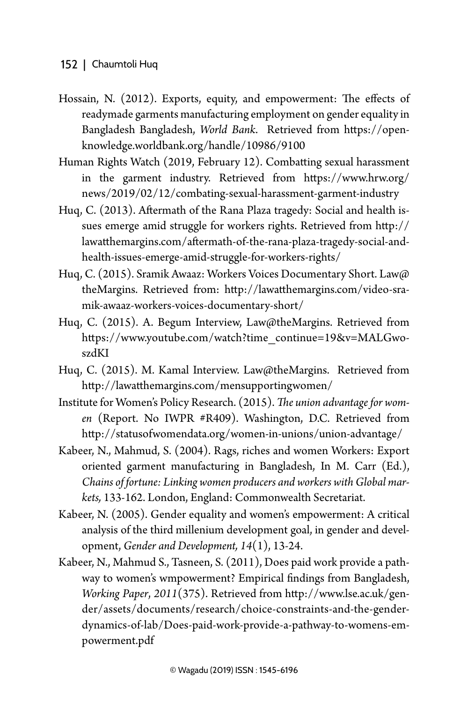- Hossain, N. (2012). Exports, equity, and empowerment: The effects of readymade garments manufacturing employment on gender equality in Bangladesh Bangladesh, *World Bank*. Retrieved from https://openknowledge.worldbank.org/handle/10986/9100
- Human Rights Watch (2019, February 12). Combatting sexual harassment in the garment industry. Retrieved from [https://www.hrw.org/](https://www.hrw.org/news/2019/02/12/combating-sexual-harassment-garment-industry) [news/2019/02/12/combating-sexual-harassment-garment-industry](https://www.hrw.org/news/2019/02/12/combating-sexual-harassment-garment-industry)
- Huq, C. (2013). Aftermath of the Rana Plaza tragedy: Social and health issues emerge amid struggle for workers rights. Retrieved from [http://](http://lawatthemargins.com/aftermath-of-the-rana-plaza-tragedy-social-and-health-issues-emerge-amid-struggle-for-workers-rights/) [lawatthemargins.com/aftermath-of-the-rana-plaza-tragedy-social-and](http://lawatthemargins.com/aftermath-of-the-rana-plaza-tragedy-social-and-health-issues-emerge-amid-struggle-for-workers-rights/)[health-issues-emerge-amid-struggle-for-workers-rights/](http://lawatthemargins.com/aftermath-of-the-rana-plaza-tragedy-social-and-health-issues-emerge-amid-struggle-for-workers-rights/)
- Huq, C. (2015). Sramik Awaaz: Workers Voices Documentary Short. Law@ theMargins. Retrieved from: [http://lawatthemargins.com/video-sra](http://lawatthemargins.com/video-sramik-awaaz-workers-voices-documentary-short/)[mik-awaaz-workers-voices-documentary-short/](http://lawatthemargins.com/video-sramik-awaaz-workers-voices-documentary-short/)
- Huq, C. (2015). A. Begum Interview, Law@theMargins. Retrieved from [https://www.youtube.com/watch?time\\_continue=19&v=MALGwo](https://www.youtube.com/watch?time_continue=19&v=MALGwoszdKI)[szdKI](https://www.youtube.com/watch?time_continue=19&v=MALGwoszdKI)
- Huq, C. (2015). M. Kamal Interview. Law@theMargins. Retrieved from <http://lawatthemargins.com/mensupportingwomen/>
- Institute for Women's Policy Research. (2015). *The union advantage for women* (Report. No IWPR #R409). Washington, D.C. Retrieved from <http://statusofwomendata.org/women-in-unions/union-advantage/>
- Kabeer, N., Mahmud, S. (2004). Rags, riches and women Workers: Export oriented garment manufacturing in Bangladesh, In M. Carr (Ed.), *Chains of fortune: Linking women producers and workers with Global markets,* 133-162. London, England: Commonwealth Secretariat.
- Kabeer, N. (2005). Gender equality and women's empowerment: A critical analysis of the third millenium development goal, in gender and development, *Gender and Development, 14*(1), 13-24.
- Kabeer, N., Mahmud S., Tasneen, S. (2011), Does paid work provide a pathway to women's wmpowerment? Empirical findings from Bangladesh, *Working Paper*, *2011*(375). Retrieved from [http://www.lse.ac.uk/gen](http://www.lse.ac.uk/gender/assets/documents/research/choice-constraints-and-the-gender-dynamics-of-lab/Does-paid-work-provide-a-pathway-to-womens-empowerment.pdf)[der/assets/documents/research/choice-constraints-and-the-gender](http://www.lse.ac.uk/gender/assets/documents/research/choice-constraints-and-the-gender-dynamics-of-lab/Does-paid-work-provide-a-pathway-to-womens-empowerment.pdf)[dynamics-of-lab/Does-paid-work-provide-a-pathway-to-womens-em](http://www.lse.ac.uk/gender/assets/documents/research/choice-constraints-and-the-gender-dynamics-of-lab/Does-paid-work-provide-a-pathway-to-womens-empowerment.pdf)[powerment.pdf](http://www.lse.ac.uk/gender/assets/documents/research/choice-constraints-and-the-gender-dynamics-of-lab/Does-paid-work-provide-a-pathway-to-womens-empowerment.pdf)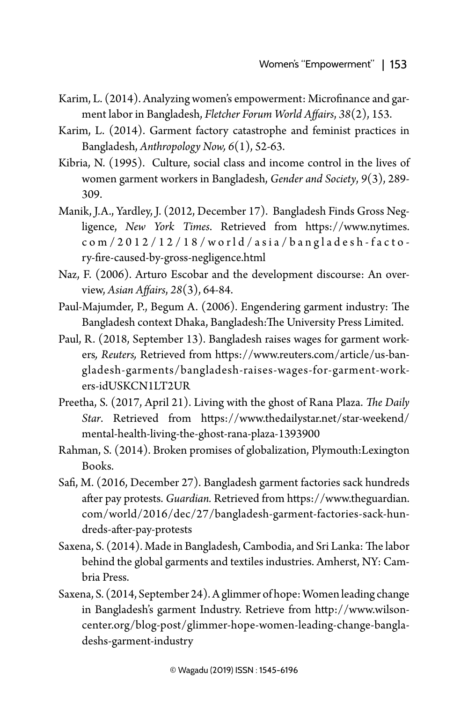- Karim, L. (2014). Analyzing women's empowerment: Microfinance and garment labor in Bangladesh, *Fletcher Forum World Affairs*, *38*(2), 153.
- Karim, L. (2014). Garment factory catastrophe and feminist practices in Bangladesh, *Anthropology Now, 6*(1), 52-63.
- Kibria, N. (1995). Culture, social class and income control in the lives of women garment workers in Bangladesh, *Gender and Society*, *9*(3), 289- 309.
- Manik, J.A., Yardley, J. (2012, December 17). [Bangladesh Finds Gross Neg](http://www.nytimes.com/2012/12/18/world/asia/bangladesh-factory-fire-caused-by-gross-negligence.html)[ligence,](http://www.nytimes.com/2012/12/18/world/asia/bangladesh-factory-fire-caused-by-gross-negligence.html) *New York Times*. Retrieved from https://www.nytimes. com/2012/12/18/world/asia/bangladesh-facto ry-fire-caused-by-gross-negligence.html
- Naz, F. (2006). Arturo Escobar and the development discourse: An overview, *Asian Affairs*, *28*(3), 64-84.
- Paul-Majumder, P., Begum A. (2006). Engendering garment industry: The Bangladesh context Dhaka, Bangladesh:The University Press Limited.
- Paul, R. (2018, September 13). Bangladesh raises wages for garment workers*, Reuters,* Retrieved from [https://www.reuters.com/article/us-ban](https://www.reuters.com/article/us-bangladesh-garments/bangladesh-raises-wages-for-garment-workers-idUSKCN1LT2UR)[gladesh-garments/bangladesh-raises-wages-for-garment-work](https://www.reuters.com/article/us-bangladesh-garments/bangladesh-raises-wages-for-garment-workers-idUSKCN1LT2UR)[ers-idUSKCN1LT2UR](https://www.reuters.com/article/us-bangladesh-garments/bangladesh-raises-wages-for-garment-workers-idUSKCN1LT2UR)
- Preetha, S. (2017, April 21). Living with the ghost of Rana Plaza. *The Daily Star*. Retrieved from [https://www.thedailystar.net/star-weekend/](https://www.thedailystar.net/star-weekend/mental-health-living-the-ghost-rana-plaza-1393900) [mental-health-living-the-ghost-rana-plaza-1393900](https://www.thedailystar.net/star-weekend/mental-health-living-the-ghost-rana-plaza-1393900)
- Rahman, S. (2014). Broken promises of globalization, Plymouth:Lexington Books.
- Safi, M. (2016, December 27). Bangladesh garment factories sack hundreds after pay protests. *Guardian.* Retrieved from https://www.theguardian. com/world/2016/dec/27/bangladesh-garment-factories-sack-hundreds-after-pay-protests
- Saxena, S. (2014). Made in Bangladesh, Cambodia, and Sri Lanka: The labor behind the global garments and textiles industries. Amherst, NY: Cambria Press.
- Saxena, S. (2014, September 24). A glimmer of hope: Women leading change in Bangladesh's garment Industry. Retrieve from [http://www.wilson](http://www.wilsoncenter.org/blog-post/glimmer-hope-women-leading-change-bangladeshs-garment-industry)[center.org/blog-post/glimmer-hope-women-leading-change-bangla](http://www.wilsoncenter.org/blog-post/glimmer-hope-women-leading-change-bangladeshs-garment-industry)[deshs-garment-industry](http://www.wilsoncenter.org/blog-post/glimmer-hope-women-leading-change-bangladeshs-garment-industry)